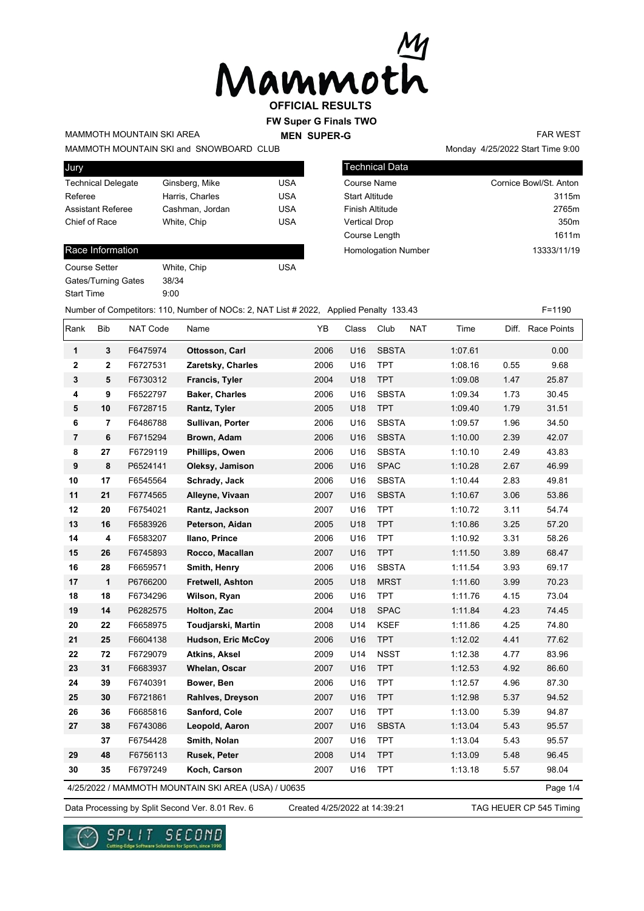

# **FW Super G Finals TWO**

Technical Data

**MEN SUPER-G** 

MAMMOTH MOUNTAIN SKI AREA

MAMMOTH MOUNTAIN SKI and SNOWBOARD CLUB

| Jury                      |                 |            |
|---------------------------|-----------------|------------|
| <b>Technical Delegate</b> | Ginsberg, Mike  | USA        |
| Referee                   | Harris, Charles | <b>USA</b> |
| <b>Assistant Referee</b>  | Cashman, Jordan | <b>USA</b> |
| Chief of Race             | White, Chip     | <b>USA</b> |
|                           |                 |            |

#### Race Information

| <b>Course Setter</b> | White, Chip | USA |
|----------------------|-------------|-----|
| Gates/Turning Gates  | 38/34       |     |
| <b>Start Time</b>    | 9:00        |     |

Monday 4/25/2022 Start Time 9:00

FAR WEST

| Course Name                | Cornice Bowl/St. Anton |
|----------------------------|------------------------|
| <b>Start Altitude</b>      | 3115m                  |
| <b>Finish Altitude</b>     | 2765m                  |
| <b>Vertical Drop</b>       | 350 <sub>m</sub>       |
| Course Length              | 1611m                  |
| <b>Homologation Number</b> | 13333/11/19            |
|                            |                        |

Number of Competitors: 110, Number of NOCs: 2, NAT List # 2022, Applied Penalty 133.43 F=1190

| Rank                    | Bib                     | <b>NAT Code</b> | Name                                                | YB   | Class | Club<br>NAT  | Time    |      | Diff. Race Points |
|-------------------------|-------------------------|-----------------|-----------------------------------------------------|------|-------|--------------|---------|------|-------------------|
| 1                       | 3                       | F6475974        | Ottosson, Carl                                      | 2006 | U16   | <b>SBSTA</b> | 1:07.61 |      | 0.00              |
| $\overline{\mathbf{2}}$ | $\overline{2}$          | F6727531        | Zaretsky, Charles                                   | 2006 | U16   | <b>TPT</b>   | 1:08.16 | 0.55 | 9.68              |
| 3                       | 5                       | F6730312        | Francis, Tyler                                      | 2004 | U18   | <b>TPT</b>   | 1:09.08 | 1.47 | 25.87             |
| 4                       | 9                       | F6522797        | <b>Baker, Charles</b>                               | 2006 | U16   | <b>SBSTA</b> | 1:09.34 | 1.73 | 30.45             |
| 5                       | 10                      | F6728715        | Rantz, Tyler                                        | 2005 | U18   | <b>TPT</b>   | 1:09.40 | 1.79 | 31.51             |
| 6                       | $\overline{\mathbf{r}}$ | F6486788        | Sullivan, Porter                                    | 2006 | U16   | <b>SBSTA</b> | 1:09.57 | 1.96 | 34.50             |
| $\overline{\mathbf{r}}$ | 6                       | F6715294        | Brown, Adam                                         | 2006 | U16   | <b>SBSTA</b> | 1:10.00 | 2.39 | 42.07             |
| 8                       | 27                      | F6729119        | Phillips, Owen                                      | 2006 | U16   | <b>SBSTA</b> | 1:10.10 | 2.49 | 43.83             |
| 9                       | 8                       | P6524141        | Oleksy, Jamison                                     | 2006 | U16   | <b>SPAC</b>  | 1:10.28 | 2.67 | 46.99             |
| 10                      | 17                      | F6545564        | Schrady, Jack                                       | 2006 | U16   | <b>SBSTA</b> | 1:10.44 | 2.83 | 49.81             |
| 11                      | 21                      | F6774565        | Alleyne, Vivaan                                     | 2007 | U16   | <b>SBSTA</b> | 1:10.67 | 3.06 | 53.86             |
| 12                      | 20                      | F6754021        | Rantz, Jackson                                      | 2007 | U16   | <b>TPT</b>   | 1:10.72 | 3.11 | 54.74             |
| 13                      | 16                      | F6583926        | Peterson, Aidan                                     | 2005 | U18   | <b>TPT</b>   | 1:10.86 | 3.25 | 57.20             |
| 14                      | 4                       | F6583207        | Ilano, Prince                                       | 2006 | U16   | <b>TPT</b>   | 1:10.92 | 3.31 | 58.26             |
| 15                      | 26                      | F6745893        | Rocco, Macallan                                     | 2007 | U16   | <b>TPT</b>   | 1:11.50 | 3.89 | 68.47             |
| 16                      | 28                      | F6659571        | Smith, Henry                                        | 2006 | U16   | <b>SBSTA</b> | 1:11.54 | 3.93 | 69.17             |
| 17                      | $\mathbf{1}$            | P6766200        | Fretwell, Ashton                                    | 2005 | U18   | <b>MRST</b>  | 1:11.60 | 3.99 | 70.23             |
| 18                      | 18                      | F6734296        | Wilson, Ryan                                        | 2006 | U16   | <b>TPT</b>   | 1:11.76 | 4.15 | 73.04             |
| 19                      | 14                      | P6282575        | Holton, Zac                                         | 2004 | U18   | <b>SPAC</b>  | 1:11.84 | 4.23 | 74.45             |
| 20                      | 22                      | F6658975        | Toudjarski, Martin                                  | 2008 | U14   | <b>KSEF</b>  | 1:11.86 | 4.25 | 74.80             |
| 21                      | 25                      | F6604138        | <b>Hudson, Eric McCoy</b>                           | 2006 | U16   | <b>TPT</b>   | 1:12.02 | 4.41 | 77.62             |
| 22                      | 72                      | F6729079        | Atkins, Aksel                                       | 2009 | U14   | <b>NSST</b>  | 1:12.38 | 4.77 | 83.96             |
| 23                      | 31                      | F6683937        | Whelan, Oscar                                       | 2007 | U16   | <b>TPT</b>   | 1:12.53 | 4.92 | 86.60             |
| 24                      | 39                      | F6740391        | Bower, Ben                                          | 2006 | U16   | <b>TPT</b>   | 1:12.57 | 4.96 | 87.30             |
| 25                      | 30                      | F6721861        | Rahlves, Dreyson                                    | 2007 | U16   | <b>TPT</b>   | 1:12.98 | 5.37 | 94.52             |
| 26                      | 36                      | F6685816        | Sanford, Cole                                       | 2007 | U16   | <b>TPT</b>   | 1:13.00 | 5.39 | 94.87             |
| 27                      | 38                      | F6743086        | Leopold, Aaron                                      | 2007 | U16   | <b>SBSTA</b> | 1:13.04 | 5.43 | 95.57             |
|                         | 37                      | F6754428        | Smith, Nolan                                        | 2007 | U16   | <b>TPT</b>   | 1:13.04 | 5.43 | 95.57             |
| 29                      | 48                      | F6756113        | Rusek, Peter                                        | 2008 | U14   | <b>TPT</b>   | 1:13.09 | 5.48 | 96.45             |
| 30                      | 35                      | F6797249        | Koch, Carson                                        | 2007 | U16   | <b>TPT</b>   | 1:13.18 | 5.57 | 98.04             |
|                         |                         |                 | 4/25/2022 / MAMMOTH MOUNTAIN SKI AREA (USA) / U0635 |      |       |              |         |      | Page 1/4          |

Created 4/25/2022 at 14:39:21

Data Processing by Split Second Ver. 8.01 Rev. 6 Created 4/25/2022 at 14:39:21 TAG HEUER CP 545 Timing

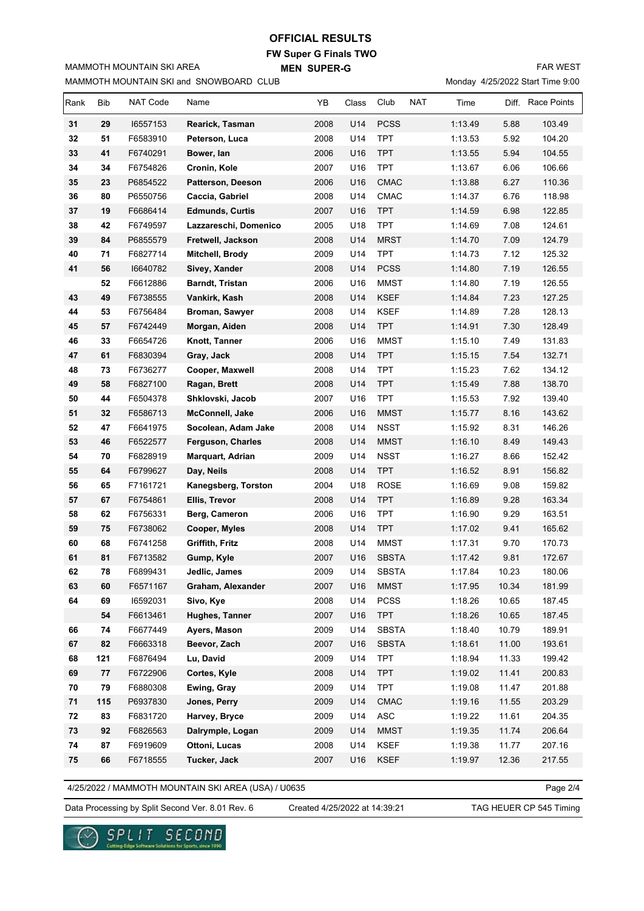#### **OFFICIAL RESULTS**

**FW Super G Finals TWO MEN SUPER-G** 

MAMMOTH MOUNTAIN SKI and SNOWBOARD CLUB

MAMMOTH MOUNTAIN SKI AREA

FAR WEST

Monday 4/25/2022 Start Time 9:00

| Rank | Bib | <b>NAT Code</b> | Name                     | YB   | Class | Club         | <b>NAT</b> | Time    | Diff. | Race Points |
|------|-----|-----------------|--------------------------|------|-------|--------------|------------|---------|-------|-------------|
| 31   | 29  | 16557153        | Rearick, Tasman          | 2008 | U14   | <b>PCSS</b>  |            | 1:13.49 | 5.88  | 103.49      |
| 32   | 51  | F6583910        | Peterson, Luca           | 2008 | U14   | <b>TPT</b>   |            | 1:13.53 | 5.92  | 104.20      |
| 33   | 41  | F6740291        | Bower, lan               | 2006 | U16   | <b>TPT</b>   |            | 1:13.55 | 5.94  | 104.55      |
| 34   | 34  | F6754826        | Cronin, Kole             | 2007 | U16   | <b>TPT</b>   |            | 1:13.67 | 6.06  | 106.66      |
| 35   | 23  | P6854522        | <b>Patterson, Deeson</b> | 2006 | U16   | <b>CMAC</b>  |            | 1:13.88 | 6.27  | 110.36      |
| 36   | 80  | P6550756        | Caccia, Gabriel          | 2008 | U14   | <b>CMAC</b>  |            | 1:14.37 | 6.76  | 118.98      |
| 37   | 19  | F6686414        | <b>Edmunds, Curtis</b>   | 2007 | U16   | <b>TPT</b>   |            | 1:14.59 | 6.98  | 122.85      |
| 38   | 42  | F6749597        | Lazzareschi, Domenico    | 2005 | U18   | <b>TPT</b>   |            | 1:14.69 | 7.08  | 124.61      |
| 39   | 84  | P6855579        | Fretwell, Jackson        | 2008 | U14   | <b>MRST</b>  |            | 1:14.70 | 7.09  | 124.79      |
| 40   | 71  | F6827714        | Mitchell, Brody          | 2009 | U14   | <b>TPT</b>   |            | 1:14.73 | 7.12  | 125.32      |
| 41   | 56  | 16640782        | Sivey, Xander            | 2008 | U14   | <b>PCSS</b>  |            | 1:14.80 | 7.19  | 126.55      |
|      | 52  | F6612886        | Barndt, Tristan          | 2006 | U16   | <b>MMST</b>  |            | 1:14.80 | 7.19  | 126.55      |
| 43   | 49  | F6738555        | Vankirk, Kash            | 2008 | U14   | <b>KSEF</b>  |            | 1:14.84 | 7.23  | 127.25      |
| 44   | 53  | F6756484        | Broman, Sawyer           | 2008 | U14   | <b>KSEF</b>  |            | 1:14.89 | 7.28  | 128.13      |
| 45   | 57  | F6742449        | Morgan, Aiden            | 2008 | U14   | <b>TPT</b>   |            | 1:14.91 | 7.30  | 128.49      |
| 46   | 33  | F6654726        | Knott, Tanner            | 2006 | U16   | <b>MMST</b>  |            | 1:15.10 | 7.49  | 131.83      |
| 47   | 61  | F6830394        | Gray, Jack               | 2008 | U14   | <b>TPT</b>   |            | 1:15.15 | 7.54  | 132.71      |
| 48   | 73  | F6736277        | Cooper, Maxwell          | 2008 | U14   | <b>TPT</b>   |            | 1:15.23 | 7.62  | 134.12      |
| 49   | 58  | F6827100        | Ragan, Brett             | 2008 | U14   | <b>TPT</b>   |            | 1:15.49 | 7.88  | 138.70      |
| 50   | 44  | F6504378        | Shklovski, Jacob         | 2007 | U16   | <b>TPT</b>   |            | 1:15.53 | 7.92  | 139.40      |
| 51   | 32  | F6586713        | <b>McConnell, Jake</b>   | 2006 | U16   | <b>MMST</b>  |            | 1:15.77 | 8.16  | 143.62      |
| 52   | 47  | F6641975        | Socolean, Adam Jake      | 2008 | U14   | <b>NSST</b>  |            | 1:15.92 | 8.31  | 146.26      |
| 53   | 46  | F6522577        | <b>Ferguson, Charles</b> | 2008 | U14   | <b>MMST</b>  |            | 1:16.10 | 8.49  | 149.43      |
| 54   | 70  | F6828919        | Marquart, Adrian         | 2009 | U14   | <b>NSST</b>  |            | 1:16.27 | 8.66  | 152.42      |
| 55   | 64  | F6799627        | Day, Neils               | 2008 | U14   | <b>TPT</b>   |            | 1:16.52 | 8.91  | 156.82      |
| 56   | 65  | F7161721        | Kanegsberg, Torston      | 2004 | U18   | <b>ROSE</b>  |            | 1:16.69 | 9.08  | 159.82      |
| 57   | 67  | F6754861        | Ellis, Trevor            | 2008 | U14   | <b>TPT</b>   |            | 1:16.89 | 9.28  | 163.34      |
| 58   | 62  | F6756331        | Berg, Cameron            | 2006 | U16   | <b>TPT</b>   |            | 1:16.90 | 9.29  | 163.51      |
| 59   | 75  | F6738062        | Cooper, Myles            | 2008 | U14   | <b>TPT</b>   |            | 1:17.02 | 9.41  | 165.62      |
| 60   | 68  | F6741258        | <b>Griffith, Fritz</b>   | 2008 | U14   | <b>MMST</b>  |            | 1:17.31 | 9.70  | 170.73      |
| 61   | 81  | F6713582        | Gump, Kyle               | 2007 | U16   | <b>SBSTA</b> |            | 1:17.42 | 9.81  | 172.67      |
| 62   | 78  | F6899431        | Jedlic, James            | 2009 | U14   | <b>SBSTA</b> |            | 1:17.84 | 10.23 | 180.06      |
| 63   | 60  | F6571167        | Graham, Alexander        | 2007 | U16   | <b>MMST</b>  |            | 1:17.95 | 10.34 | 181.99      |
| 64   | 69  | 16592031        | Sivo, Kye                | 2008 | U14   | PCSS         |            | 1:18.26 | 10.65 | 187.45      |
|      | 54  | F6613461        | Hughes, Tanner           | 2007 | U16   | <b>TPT</b>   |            | 1:18.26 | 10.65 | 187.45      |
| 66   | 74  | F6677449        | Ayers, Mason             | 2009 | U14   | <b>SBSTA</b> |            | 1:18.40 | 10.79 | 189.91      |
| 67   | 82  | F6663318        | Beevor, Zach             | 2007 | U16   | <b>SBSTA</b> |            | 1:18.61 | 11.00 | 193.61      |
| 68   | 121 | F6876494        | Lu, David                | 2009 | U14   | <b>TPT</b>   |            | 1:18.94 | 11.33 | 199.42      |
| 69   | 77  | F6722906        | Cortes, Kyle             | 2008 | U14   | <b>TPT</b>   |            | 1:19.02 | 11.41 | 200.83      |
| 70   | 79  | F6880308        | Ewing, Gray              | 2009 | U14   | <b>TPT</b>   |            | 1:19.08 | 11.47 | 201.88      |
| 71   | 115 | P6937830        | Jones, Perry             | 2009 | U14   | <b>CMAC</b>  |            | 1:19.16 | 11.55 | 203.29      |
| 72   | 83  | F6831720        | Harvey, Bryce            | 2009 | U14   | ASC          |            | 1:19.22 | 11.61 | 204.35      |
| 73   | 92  | F6826563        | Dalrymple, Logan         | 2009 | U14   | <b>MMST</b>  |            | 1:19.35 | 11.74 | 206.64      |
| 74   | 87  | F6919609        | Ottoni, Lucas            | 2008 | U14   | <b>KSEF</b>  |            | 1:19.38 | 11.77 | 207.16      |
| 75   | 66  | F6718555        | Tucker, Jack             | 2007 | U16   | KSEF         |            | 1:19.97 | 12.36 | 217.55      |
|      |     |                 |                          |      |       |              |            |         |       |             |

4/25/2022 / MAMMOTH MOUNTAIN SKI AREA (USA) / U0635

Page 2/4

Data Processing by Split Second Ver. 8.01 Rev. 6 Created 4/25/2022 at 14:39:21 TAG HEUER CP 545 Timing

Created 4/25/2022 at 14:39:21

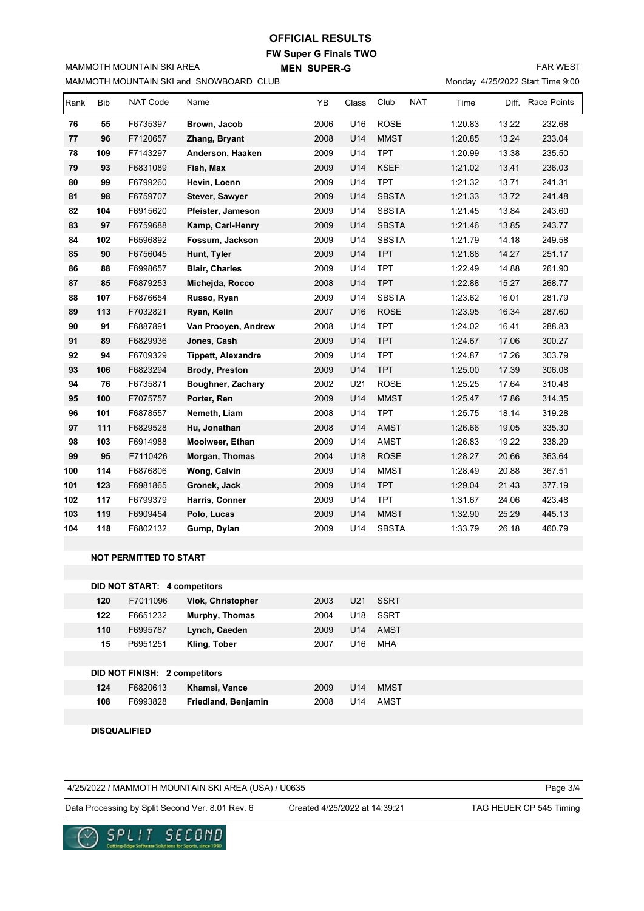### **OFFICIAL RESULTS**

**FW Super G Finals TWO MEN SUPER-G** 

MAMMOTH MOUNTAIN SKI and SNOWBOARD CLUB

MAMMOTH MOUNTAIN SKI AREA

FAR WEST

Monday 4/25/2022 Start Time 9:00

| Rank | <b>Bib</b> | <b>NAT Code</b> | Name                      | YB   | Class | Club         | <b>NAT</b> | Time    | Diff. | <b>Race Points</b> |
|------|------------|-----------------|---------------------------|------|-------|--------------|------------|---------|-------|--------------------|
| 76   | 55         | F6735397        | Brown, Jacob              | 2006 | U16   | <b>ROSE</b>  |            | 1:20.83 | 13.22 | 232.68             |
| 77   | 96         | F7120657        | Zhang, Bryant             | 2008 | U14   | <b>MMST</b>  |            | 1:20.85 | 13.24 | 233.04             |
| 78   | 109        | F7143297        | Anderson, Haaken          | 2009 | U14   | <b>TPT</b>   |            | 1:20.99 | 13.38 | 235.50             |
| 79   | 93         | F6831089        | Fish, Max                 | 2009 | U14   | <b>KSEF</b>  |            | 1:21.02 | 13.41 | 236.03             |
| 80   | 99         | F6799260        | Hevin, Loenn              | 2009 | U14   | <b>TPT</b>   |            | 1:21.32 | 13.71 | 241.31             |
| 81   | 98         | F6759707        | Stever, Sawyer            | 2009 | U14   | <b>SBSTA</b> |            | 1:21.33 | 13.72 | 241.48             |
| 82   | 104        | F6915620        | Pfeister, Jameson         | 2009 | U14   | <b>SBSTA</b> |            | 1:21.45 | 13.84 | 243.60             |
| 83   | 97         | F6759688        | Kamp, Carl-Henry          | 2009 | U14   | <b>SBSTA</b> |            | 1:21.46 | 13.85 | 243.77             |
| 84   | 102        | F6596892        | Fossum, Jackson           | 2009 | U14   | <b>SBSTA</b> |            | 1:21.79 | 14.18 | 249.58             |
| 85   | 90         | F6756045        | Hunt, Tyler               | 2009 | U14   | <b>TPT</b>   |            | 1:21.88 | 14.27 | 251.17             |
| 86   | 88         | F6998657        | <b>Blair, Charles</b>     | 2009 | U14   | <b>TPT</b>   |            | 1:22.49 | 14.88 | 261.90             |
| 87   | 85         | F6879253        | Michejda, Rocco           | 2008 | U14   | <b>TPT</b>   |            | 1:22.88 | 15.27 | 268.77             |
| 88   | 107        | F6876654        | Russo, Ryan               | 2009 | U14   | <b>SBSTA</b> |            | 1:23.62 | 16.01 | 281.79             |
| 89   | 113        | F7032821        | Ryan, Kelin               | 2007 | U16   | <b>ROSE</b>  |            | 1:23.95 | 16.34 | 287.60             |
| 90   | 91         | F6887891        | Van Prooyen, Andrew       | 2008 | U14   | <b>TPT</b>   |            | 1:24.02 | 16.41 | 288.83             |
| 91   | 89         | F6829936        | Jones, Cash               | 2009 | U14   | <b>TPT</b>   |            | 1:24.67 | 17.06 | 300.27             |
| 92   | 94         | F6709329        | <b>Tippett, Alexandre</b> | 2009 | U14   | <b>TPT</b>   |            | 1:24.87 | 17.26 | 303.79             |
| 93   | 106        | F6823294        | <b>Brody, Preston</b>     | 2009 | U14   | <b>TPT</b>   |            | 1:25.00 | 17.39 | 306.08             |
| 94   | 76         | F6735871        | Boughner, Zachary         | 2002 | U21   | <b>ROSE</b>  |            | 1:25.25 | 17.64 | 310.48             |
| 95   | 100        | F7075757        | Porter, Ren               | 2009 | U14   | <b>MMST</b>  |            | 1:25.47 | 17.86 | 314.35             |
| 96   | 101        | F6878557        | Nemeth, Liam              | 2008 | U14   | <b>TPT</b>   |            | 1:25.75 | 18.14 | 319.28             |
| 97   | 111        | F6829528        | Hu, Jonathan              | 2008 | U14   | <b>AMST</b>  |            | 1:26.66 | 19.05 | 335.30             |
| 98   | 103        | F6914988        | Mooiweer, Ethan           | 2009 | U14   | <b>AMST</b>  |            | 1:26.83 | 19.22 | 338.29             |
| 99   | 95         | F7110426        | Morgan, Thomas            | 2004 | U18   | <b>ROSE</b>  |            | 1:28.27 | 20.66 | 363.64             |
| 100  | 114        | F6876806        | Wong, Calvin              | 2009 | U14   | <b>MMST</b>  |            | 1:28.49 | 20.88 | 367.51             |
| 101  | 123        | F6981865        | Gronek, Jack              | 2009 | U14   | <b>TPT</b>   |            | 1:29.04 | 21.43 | 377.19             |
| 102  | 117        | F6799379        | Harris, Conner            | 2009 | U14   | <b>TPT</b>   |            | 1:31.67 | 24.06 | 423.48             |
| 103  | 119        | F6909454        | Polo, Lucas               | 2009 | U14   | <b>MMST</b>  |            | 1:32.90 | 25.29 | 445.13             |
| 104  | 118        | F6802132        | Gump, Dylan               | 2009 | U14   | <b>SBSTA</b> |            | 1:33.79 | 26.18 | 460.79             |
|      |            |                 |                           |      |       |              |            |         |       |                    |

#### **NOT PERMITTED TO START**

|     | <b>DID NOT START: 4 competitors</b> |                          |      |                 |             |
|-----|-------------------------------------|--------------------------|------|-----------------|-------------|
| 120 | F7011096                            | <b>Vlok, Christopher</b> | 2003 | U <sub>21</sub> | <b>SSRT</b> |
| 122 | F6651232                            | Murphy, Thomas           | 2004 | U18             | <b>SSRT</b> |
| 110 | F6995787                            | Lynch, Caeden            | 2009 | U <sub>14</sub> | AMST        |
| 15  | P6951251                            | Kling, Tober             | 2007 | U <sub>16</sub> | <b>MHA</b>  |
|     |                                     |                          |      |                 |             |
|     | DID NOT FINISH: 2 competitors       |                          |      |                 |             |
| 124 | F6820613                            | Khamsi, Vance            | 2009 | U <sub>14</sub> | <b>MMST</b> |
| 108 | F6993828                            | Friedland, Benjamin      | 2008 | U <sub>14</sub> | AMST        |
|     |                                     |                          |      |                 |             |

 **DISQUALIFIED**

4/25/2022 / MAMMOTH MOUNTAIN SKI AREA (USA) / U0635

Page 3/4

Data Processing by Split Second Ver. 8.01 Rev. 6 Created 4/25/2022 at 14:39:21 TAG HEUER CP 545 Timing

Created 4/25/2022 at 14:39:21